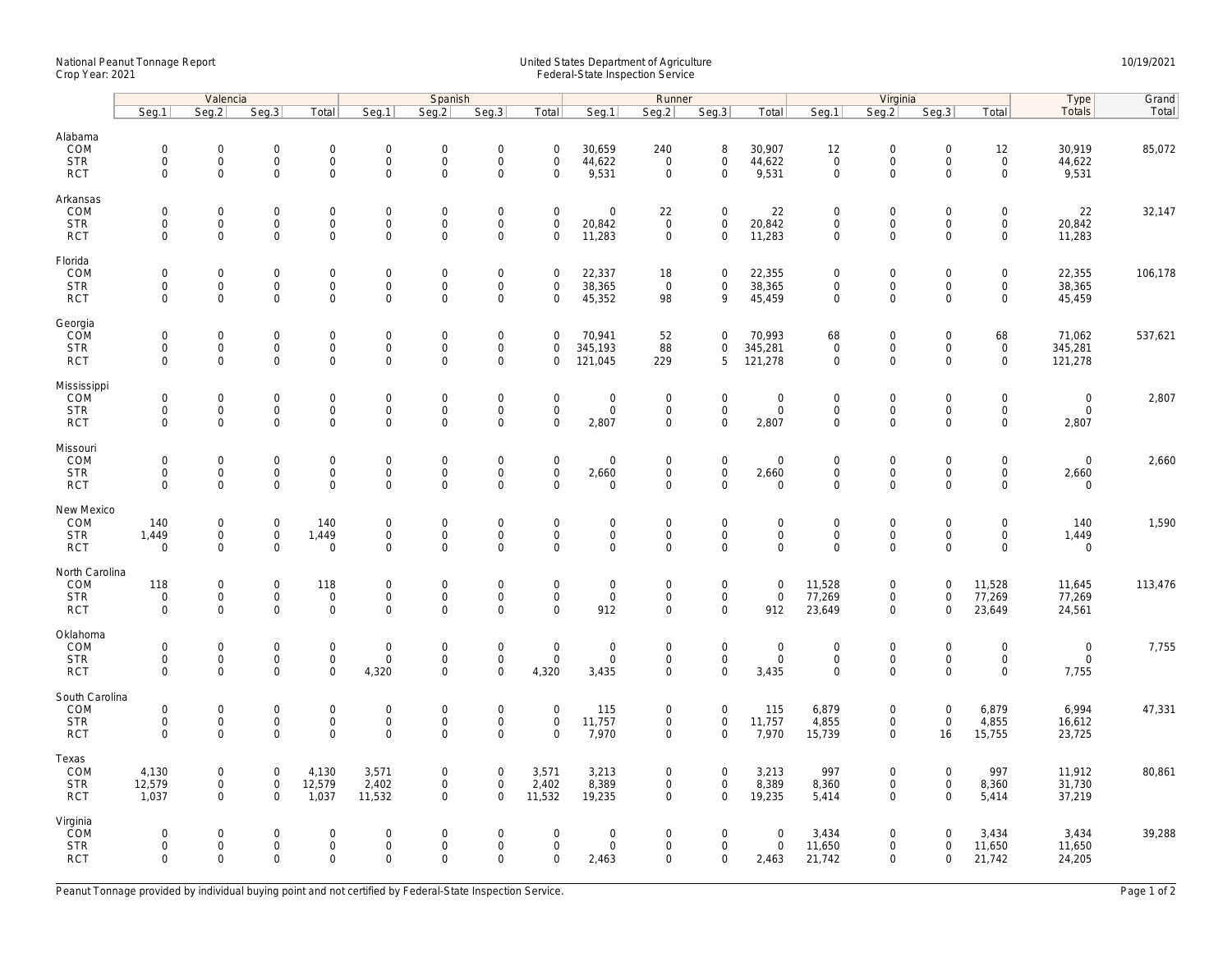## National Peanut Tonnage Report United States Department of Agriculture 10/19/2021<br>Crop Year: 2021 Federal-State Inspection Service

|                           |                            | Valencia                            |                                    | Spanish                             |                             |                            |                                            |                                 | Runner                              |                            |                               |                             | Virginia                           |                                    |                            |                                            | Type                 | Grand   |
|---------------------------|----------------------------|-------------------------------------|------------------------------------|-------------------------------------|-----------------------------|----------------------------|--------------------------------------------|---------------------------------|-------------------------------------|----------------------------|-------------------------------|-----------------------------|------------------------------------|------------------------------------|----------------------------|--------------------------------------------|----------------------|---------|
|                           | Seg.1                      | Seg.2                               | Seg.3                              | Total                               | Seg.1                       | Seq.2                      | Seg.3                                      | Total                           | Seg.1                               | Seg.2                      | Seg.3                         | Total                       | Seg.1                              | Seq.2                              | Seg.3                      | Total                                      | Totals               | Total   |
| Alabama                   |                            |                                     |                                    |                                     |                             |                            |                                            |                                 |                                     |                            |                               |                             |                                    |                                    |                            |                                            |                      |         |
| COM                       | $\mathbf 0$                | $\mathsf{O}\xspace$                 | $\mathbf 0$                        | $\mathsf{O}\xspace$                 | $\boldsymbol{0}$            | $\mathbf 0$                | $\mathsf{O}\xspace$                        | $\mathbf 0$                     | 30,659                              | 240                        | 8                             | 30,907                      | 12                                 | $\mathbf 0$                        | $\mathsf 0$                | 12                                         | 30,919               | 85,072  |
| <b>STR</b>                | $\mathbf 0$                | $\mathbf{O}$                        | $\mathbf 0$                        | $\mathbf{0}$                        | $\mathbf 0$                 | $\mathbf 0$                | $\mathsf{O}\xspace$                        | $\mathbf 0$                     | 44,622                              | $\mathbf{0}$               | $\mathbf 0$                   | 44,622                      | $\mathbf 0$                        | $\mathsf{O}$                       | $\mathbf 0$                | $\mathsf 0$                                | 44,622               |         |
| <b>RCT</b>                | $\mathbf 0$                | $\mathbf 0$                         | $\mathbf 0$                        | $\mathbf 0$                         | $\mathsf 0$                 | $\mathsf 0$                | $\mathbf 0$                                | $\mathbf 0$                     | 9,531                               | $\mathsf 0$                | $\mathbf 0$                   | 9,531                       | $\mathsf{O}\xspace$                | $\mathbf 0$                        | $\mathbf 0$                | $\mathbf 0$                                | 9,531                |         |
| Arkansas                  |                            |                                     |                                    |                                     |                             |                            |                                            |                                 |                                     |                            |                               |                             |                                    |                                    |                            |                                            |                      |         |
| COM                       | $\mathbf 0$                | $\mathsf{O}\xspace$                 | $\mathbf 0$                        | $\mathbf 0$                         | $\mathbf 0$                 | $\mathbf 0$                | $\mathsf{O}\xspace$                        | $\mathsf 0$                     | $\mathsf{O}\xspace$                 | 22                         | $\mathbf 0$                   | 22                          | $\mathbf 0$                        | $\mathsf{O}\xspace$                | $\mathsf 0$                | $\mathsf{O}\xspace$                        | 22                   | 32,147  |
| <b>STR</b>                | $\mathbf 0$                | $\mathsf{O}\xspace$                 | $\mathbf 0$                        | $\mathbf 0$                         | $\mathbf 0$                 | $\mathsf 0$                | $\mathsf{O}\xspace$                        | $\mathsf 0$                     | 20,842                              | $\mathbf 0$                | $\mathbf 0$                   | 20,842                      | $\mathsf{O}\xspace$                | $\mathsf{O}\xspace$                | $\mathsf 0$                | $\mathsf{O}$                               | 20,842               |         |
| <b>RCT</b>                | $\Omega$                   | $\Omega$                            | $\mathbf 0$                        | 0                                   | $\Omega$                    | $\Omega$                   | $\Omega$                                   | $\Omega$                        | 11,283                              | $\mathbf 0$                | $\mathbf 0$                   | 11,283                      | $\Omega$                           | $\Omega$                           | $\Omega$                   | $\mathbf 0$                                | 11,283               |         |
| Florida                   |                            |                                     |                                    |                                     |                             |                            |                                            |                                 |                                     |                            |                               |                             |                                    |                                    |                            |                                            |                      |         |
| COM                       | $\mathbf 0$                | $\mathsf{O}\xspace$                 | $\mathbf 0$<br>$\mathbf 0$         | $\mathsf{O}\xspace$                 | $\mathsf{O}$                | $\mathbf 0$                | $\mathsf{O}\xspace$<br>$\mathsf{O}\xspace$ | $\mathsf 0$                     | 22,337                              | 18                         | $\mathbf 0$                   | 22,355                      | $\mathbf 0$                        | $\mathbf 0$                        | $\mathbf 0$                | $\mathsf{O}\xspace$                        | 22,355               | 106,178 |
| <b>STR</b><br><b>RCT</b>  | $\mathbf 0$<br>$\mathbf 0$ | $\mathsf{O}\xspace$<br>$\Omega$     | $\mathbf 0$                        | $\mathsf{O}\xspace$<br>$\mathbf 0$  | $\mathsf{O}$<br>$\mathbf 0$ | $\mathbf 0$<br>$\mathbf 0$ | $\mathbf 0$                                | $\mathbf 0$<br>$\mathbf 0$      | 38,365<br>45,352                    | $\overline{0}$<br>98       | $\mathbf 0$<br>9              | 38,365<br>45,459            | $\mathsf{O}\xspace$<br>$\mathbf 0$ | $\mathsf{O}\xspace$<br>$\mathbf 0$ | 0<br>$\Omega$              | $\mathsf{O}\xspace$<br>$\mathbf 0$         | 38,365<br>45,459     |         |
|                           |                            |                                     |                                    |                                     |                             |                            |                                            |                                 |                                     |                            |                               |                             |                                    |                                    |                            |                                            |                      |         |
| Georgia                   |                            |                                     |                                    |                                     |                             |                            |                                            |                                 |                                     |                            |                               |                             |                                    |                                    |                            |                                            |                      |         |
| COM<br><b>STR</b>         | $\mathbf 0$<br>$\mathbf 0$ | $\mathbf 0$<br>$\mathsf{O}\xspace$  | $\mathbf 0$<br>$\mathbf 0$         | $\mathbf 0$<br>$\mathbf 0$          | $\mathbf 0$<br>$\mathsf{O}$ | $\mathbf 0$<br>$\mathsf 0$ | $\mathsf{O}\xspace$<br>$\mathsf 0$         | $\mathbf 0$<br>$\mathbf 0$      | 70,941<br>345,193                   | 52<br>88                   | $\mathbf 0$<br>$\mathbf 0$    | 70,993<br>345,281           | 68<br>$\mathbf 0$                  | $\mathbf 0$<br>$\mathsf{O}$        | $\mathbf 0$<br>$\mathbf 0$ | 68<br>$\mathbf 0$                          | 71,062<br>345,281    | 537,621 |
| <b>RCT</b>                | $\mathbf 0$                | $\mathbf 0$                         | $\mathbf 0$                        | $\mathbf 0$                         | $\mathbf 0$                 | $\mathbf 0$                | $\mathbf 0$                                | $\mathbf 0$                     | 121,045                             | 229                        | 5                             | 121,278                     | $\mathbf 0$                        | $\mathbf 0$                        | $\mathbf 0$                | $\mathbf 0$                                | 121,278              |         |
|                           |                            |                                     |                                    |                                     |                             |                            |                                            |                                 |                                     |                            |                               |                             |                                    |                                    |                            |                                            |                      |         |
| Mississippi<br><b>COM</b> | $\mathbf 0$                | $\mathbf 0$                         | $\mathbf 0$                        | $\mathbf{0}$                        | $\mathsf{O}$                | $\mathbf 0$                | $\mathsf 0$                                | $\mathbf 0$                     | $\mathsf{O}\xspace$                 | $\mathbf 0$                | $\mathbf 0$                   | $\mathbf 0$                 | $\mathbf 0$                        | $\mathbf 0$                        | $\mathbf 0$                | $\mathbf 0$                                | $\mathbf 0$          | 2,807   |
| <b>STR</b>                | $\mathbf 0$                | $\mathsf{O}$                        | $\mathbf 0$                        | $\mathbf 0$                         | $\mathbf 0$                 | $\mathsf 0$                | $\mathsf 0$                                | $\mathsf 0$                     | $\mathsf{O}\xspace$                 | $\mathbf 0$                | $\mathbf 0$                   | $\mathbf 0$                 | $\mathsf{O}\xspace$                | $\mathsf{O}$                       | $\mathsf 0$                | $\mathsf{O}$                               | $\mathbf 0$          |         |
| <b>RCT</b>                | $\mathbf 0$                | $\mathsf{O}\xspace$                 | 0                                  | $\mathbf 0$                         | $\mathbf 0$                 | $\mathsf 0$                | $\mathbf 0$                                | $\mathbf 0$                     | 2,807                               | $\mathbf 0$                | $\mathbf 0$                   | 2,807                       | $\mathsf{O}\xspace$                | $\mathbf 0$                        | $\mathbf 0$                | $\mathbf 0$                                | 2,807                |         |
| Missouri                  |                            |                                     |                                    |                                     |                             |                            |                                            |                                 |                                     |                            |                               |                             |                                    |                                    |                            |                                            |                      |         |
| COM                       | $\mathbf 0$                | $\mathsf{O}\xspace$                 | $\mathbf 0$                        | $\mathsf{O}\xspace$                 | $\mathbf 0$                 | $\mathbf 0$                | $\mathsf{O}\xspace$                        | $\mathsf 0$                     | $\mathsf{O}\xspace$                 | $\mathbf 0$                | $\mathsf{O}\xspace$           | $\mathbf 0$                 | $\mathbf 0$                        | $\mathsf{O}\xspace$                | $\mathbf 0$                | $\mathsf{O}\xspace$                        | $\mathbf 0$          | 2,660   |
| <b>STR</b>                | $\mathbf 0$                | 0                                   | $\mathbf 0$                        | 0                                   | $\mathsf{O}$                | $\mathbf 0$                | $\mathsf{O}\xspace$                        | $\mathbf 0$                     | 2,660                               | $\mathbf 0$                | $\mathbf 0$                   | 2,660                       | $\mathbf 0$                        | $\mathbf 0$                        | $\mathbf 0$                | $\mathsf{O}\xspace$                        | 2,660                |         |
| <b>RCT</b>                | $\mathbf 0$                | $\mathbf 0$                         | $\mathbf 0$                        | $\mathbf 0$                         | $\mathbf 0$                 | $\Omega$                   | $\mathbf 0$                                | $\mathbf 0$                     | $\mathbf 0$                         | $\mathbf 0$                | $\mathbf 0$                   | $\mathbf 0$                 | $\mathbf 0$                        | $\mathbf 0$                        | $\mathbf 0$                | $\mathbf{0}$                               | $\mathbf 0$          |         |
| New Mexico                |                            |                                     |                                    |                                     |                             |                            |                                            |                                 |                                     |                            |                               |                             |                                    |                                    |                            |                                            |                      |         |
| COM                       | 140                        | $\mathsf{O}\xspace$                 | $\mathbf 0$                        | 140                                 | $\mathbf 0$                 | $\mathbf 0$                | $\mathsf{O}\xspace$                        | $\mathbf 0$                     | $\mathbf 0$                         | $\mathbf 0$                | $\mathbf 0$                   | $\mathbf 0$                 | $\mathbf 0$                        | $\mathbf 0$                        | $\mathbf 0$                | $\mathsf{O}\xspace$                        | 140                  | 1,590   |
| <b>STR</b><br><b>RCT</b>  | 1,449<br>$\mathbf 0$       | 0<br>$\mathbf 0$                    | $\mathbf 0$<br>$\mathbf 0$         | 1,449<br>$\mathsf{O}\xspace$        | $\mathsf 0$<br>$\mathsf 0$  | $\mathbf 0$<br>$\mathbf 0$ | $\mathbf 0$<br>$\mathbf 0$                 | $\mathbf 0$<br>$\mathbf 0$      | $\mathbf 0$<br>$\mathbf 0$          | $\mathbf 0$<br>$\mathbf 0$ | $\mathbf 0$<br>$\mathbf 0$    | $\mathbf 0$<br>$\mathsf 0$  | $\mathbf 0$<br>$\mathbf 0$         | $\mathbf 0$<br>$\mathbf 0$         | $\mathbf 0$<br>$\mathbf 0$ | $\mathsf{O}\xspace$<br>$\mathsf{O}\xspace$ | 1,449<br>$\mathbf 0$ |         |
|                           |                            |                                     |                                    |                                     |                             |                            |                                            |                                 |                                     |                            |                               |                             |                                    |                                    |                            |                                            |                      |         |
| North Carolina            |                            |                                     |                                    |                                     |                             |                            |                                            |                                 |                                     |                            |                               |                             |                                    |                                    |                            |                                            |                      |         |
| COM<br><b>STR</b>         | 118<br>$\mathbf 0$         | 0<br>$\mathbf{O}$                   | $\mathsf{O}\xspace$<br>$\mathbf 0$ | 118<br>$\mathsf 0$                  | $\mathbf 0$<br>$\mathsf{O}$ | $\mathbf 0$<br>$\mathbf 0$ | $\mathsf{O}\xspace$<br>$\mathsf 0$         | $\mathbf 0$<br>$\mathbf 0$      | $\mathsf{O}\xspace$<br>$\mathbf{0}$ | $\mathbf 0$<br>$\mathbf 0$ | $\mathbf 0$<br>$\mathbf 0$    | $\mathsf{O}$<br>$\mathbf 0$ | 11,528<br>77,269                   | $\mathsf{O}\xspace$<br>$\mathbf 0$ | $\mathbf 0$<br>$\mathbf 0$ | 11,528<br>77,269                           | 11,645<br>77,269     | 113,476 |
| <b>RCT</b>                | $\mathbf 0$                | $\mathbf 0$                         | $\mathbf 0$                        | $\mathbf 0$                         | $\mathsf 0$                 | $\mathbf 0$                | $\mathbf 0$                                | $\mathbf 0$                     | 912                                 | $\mathbf 0$                | $\mathbf 0$                   | 912                         | 23,649                             | $\mathbf 0$                        | $\mathbf 0$                | 23,649                                     | 24,561               |         |
|                           |                            |                                     |                                    |                                     |                             |                            |                                            |                                 |                                     |                            |                               |                             |                                    |                                    |                            |                                            |                      |         |
| Oklahoma<br>COM           | $\mathbf 0$                | $\mathsf{O}\xspace$                 | $\mathbf 0$                        | $\mathbf 0$                         | $\mathbf 0$                 | $\mathbf 0$                | $\mathsf{O}\xspace$                        | $\mathsf 0$                     | $\mathsf{O}\xspace$                 | $\mathbf 0$                | $\mathbf 0$                   | $\mathbf 0$                 | $\mathbf 0$                        | $\mathsf{O}\xspace$                | $\mathsf 0$                | $\mathsf{O}\xspace$                        | $\mathbf 0$          | 7,755   |
| <b>STR</b>                | $\mathbf 0$                | $\mathbf 0$                         | $\mathbf 0$                        | $\mathbf 0$                         | $\mathbf 0$                 | $\mathsf 0$                | $\mathsf{O}\xspace$                        | $\mathsf 0$                     | $\mathsf{O}\xspace$                 | $\mathbf 0$                | $\mathbf 0$                   | $\mathsf 0$                 | $\mathsf{O}\xspace$                | $\mathbf 0$                        | $\mathsf 0$                | $\mathbf 0$                                | $\mathbf 0$          |         |
| <b>RCT</b>                | $\Omega$                   | $\Omega$                            | $\Omega$                           | $\Omega$                            | 4,320                       | $\mathbf 0$                | $\Omega$                                   | 4,320                           | 3,435                               | $\Omega$                   | 0                             | 3,435                       | $\Omega$                           | $\Omega$                           | $\Omega$                   | $\mathsf{O}\xspace$                        | 7,755                |         |
| South Carolina            |                            |                                     |                                    |                                     |                             |                            |                                            |                                 |                                     |                            |                               |                             |                                    |                                    |                            |                                            |                      |         |
| COM                       | $\mathbf 0$                | $\mathbf 0$                         | $\mathbf 0$                        | $\mathsf{O}\xspace$                 | $\mathbf 0$                 | $\mathbf 0$                | $\mathsf{O}\xspace$                        | $\mathbf 0$                     | 115                                 | $\mathbf 0$                | $\mathbf 0$                   | 115                         | 6,879                              | $\mathbf 0$                        | $\mathsf 0$                | 6,879                                      | 6,994                | 47,331  |
| <b>STR</b>                | $\mathbf 0$<br>$\mathbf 0$ | $\mathsf{O}\xspace$<br>$\mathbf 0$  | $\mathbf 0$<br>$\Omega$            | $\mathsf{O}\xspace$<br>$\mathbf{0}$ | $\mathsf{O}$<br>$\mathbf 0$ | $\mathbf 0$<br>$\mathbf 0$ | $\mathsf{O}\xspace$<br>$\mathbf 0$         | $\mathsf{O}\xspace$<br>$\Omega$ | 11,757<br>7,970                     | 0<br>$\mathbf 0$           | $\mathsf 0$<br>$\mathbf{0}$   | 11,757<br>7,970             | 4,855<br>15,739                    | $\mathbf 0$<br>$\mathbf 0$         | $\mathsf{O}\xspace$<br>16  | 4,855                                      | 16,612               |         |
| <b>RCT</b>                |                            |                                     |                                    |                                     |                             |                            |                                            |                                 |                                     |                            |                               |                             |                                    |                                    |                            | 15,755                                     | 23,725               |         |
| Texas                     |                            |                                     |                                    |                                     |                             |                            |                                            |                                 |                                     |                            |                               |                             |                                    |                                    |                            |                                            |                      |         |
| COM<br><b>STR</b>         | 4,130<br>12,579            | $\mathbf{0}$<br>$\mathsf{O}\xspace$ | $\mathbf 0$<br>$\mathsf{O}$        | 4,130<br>12,579                     | 3,571<br>2,402              | $\mathbf 0$<br>$\mathsf 0$ | $\mathbf 0$<br>$\mathsf{O}\xspace$         | 3,571<br>2,402                  | 3,213<br>8,389                      | 0<br>0                     | $\overline{0}$<br>$\mathbf 0$ | 3,213<br>8,389              | 997<br>8,360                       | $\mathbf{0}$<br>$\mathsf{O}$       | $\mathbf 0$<br>$\mathsf 0$ | 997<br>8,360                               | 11,912<br>31,730     | 80,861  |
| <b>RCT</b>                | 1,037                      | $\mathbf 0$                         | $\mathbf 0$                        | 1,037                               | 11,532                      | $\mathbf 0$                | $\mathbf 0$                                | 11,532                          | 19,235                              | $\mathbf 0$                | $\mathbf 0$                   | 19,235                      | 5,414                              | $\mathbf 0$                        | $\mathbf 0$                | 5,414                                      | 37,219               |         |
|                           |                            |                                     |                                    |                                     |                             |                            |                                            |                                 |                                     |                            |                               |                             |                                    |                                    |                            |                                            |                      |         |
| Virginia<br><b>ČOM</b>    | $\mathbf 0$                | $\mathbf{0}$                        | $\mathbf 0$                        | $\mathbf 0$                         | $\mathbf 0$                 | $\mathbf 0$                | $\mathbf 0$                                | $\mathbf 0$                     | $\mathbf 0$                         | $\Omega$                   | $\mathbf 0$                   | $\mathbf{0}$                | 3,434                              | $\mathbf 0$                        | $\mathbf 0$                | 3,434                                      | 3,434                | 39,288  |
| <b>STR</b>                | $\mathbf 0$                | $\mathsf{O}\xspace$                 | $\mathbf 0$                        | $\mathsf{O}\xspace$                 | $\mathsf{O}$                | $\mathbf 0$                | $\mathsf{O}\xspace$                        | $\mathbf 0$                     | $\mathbf 0$                         | $\mathbf 0$                | $\mathsf 0$                   | $\mathsf 0$                 | 11,650                             | $\mathbf 0$                        | $\mathbf 0$                | 11,650                                     | 11,650               |         |
| <b>RCT</b>                | $\mathbf 0$                | $\mathbf 0$                         | $\mathbf 0$                        | $\mathbf 0$                         | $\mathbf 0$                 | $\mathbf 0$                | $\mathbf 0$                                | $\mathbf 0$                     | 2,463                               | $\mathbf 0$                | $\mathbf 0$                   | 2,463                       | 21,742                             | $\mathbf 0$                        | $\mathbf 0$                | 21,742                                     | 24,205               |         |
|                           |                            |                                     |                                    |                                     |                             |                            |                                            |                                 |                                     |                            |                               |                             |                                    |                                    |                            |                                            |                      |         |

Peanut Tonnage provided by individual buying point and not certified by Federal-State Inspection Service. Page 1 of 2